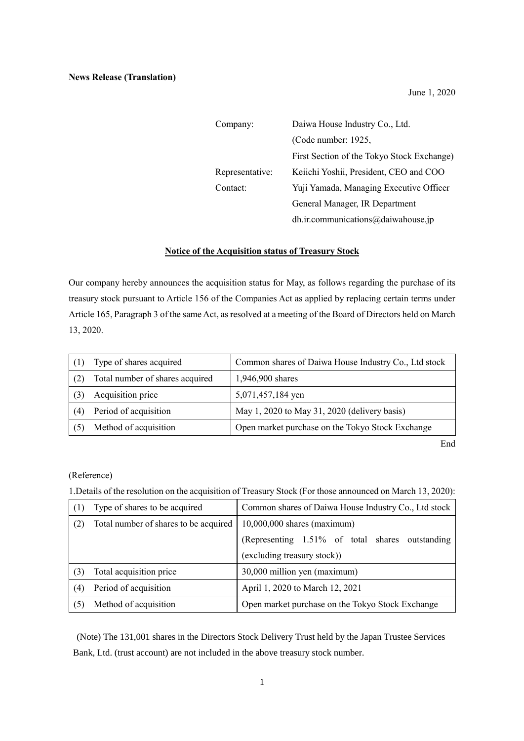June 1, 2020

| Company:        | Daiwa House Industry Co., Ltd.             |  |
|-----------------|--------------------------------------------|--|
|                 | (Code number: 1925,                        |  |
|                 | First Section of the Tokyo Stock Exchange) |  |
| Representative: | Keiichi Yoshii, President, CEO and COO     |  |
| Contact:        | Yuji Yamada, Managing Executive Officer    |  |
|                 | General Manager, IR Department             |  |
|                 | dh.ir.communications@daiwahouse.jp         |  |

## **Notice of the Acquisition status of Treasury Stock**

Our company hereby announces the acquisition status for May, as follows regarding the purchase of its treasury stock pursuant to Article 156 of the Companies Act as applied by replacing certain terms under Article 165, Paragraph 3 of the same Act, as resolved at a meeting of the Board of Directors held on March 13, 2020.

|     | Type of shares acquired         | Common shares of Daiwa House Industry Co., Ltd stock |
|-----|---------------------------------|------------------------------------------------------|
|     | Total number of shares acquired | 1,946,900 shares                                     |
|     | Acquisition price               | 5,071,457,184 yen                                    |
| (4) | Period of acquisition           | May 1, 2020 to May 31, 2020 (delivery basis)         |
|     | Method of acquisition           | Open market purchase on the Tokyo Stock Exchange     |

End

## (Reference)

1.Details of the resolution on the acquisition of Treasury Stock (For those announced on March 13, 2020):

| (1) | Type of shares to be acquired         | Common shares of Daiwa House Industry Co., Ltd stock |
|-----|---------------------------------------|------------------------------------------------------|
| (2) | Total number of shares to be acquired | $10,000,000$ shares (maximum)                        |
|     |                                       | (Representing 1.51% of total shares outstanding      |
|     |                                       | (excluding treasury stock))                          |
| (3) | Total acquisition price               | 30,000 million yen (maximum)                         |
| (4) | Period of acquisition                 | April 1, 2020 to March 12, 2021                      |
| (5) | Method of acquisition                 | Open market purchase on the Tokyo Stock Exchange     |

(Note) The 131,001 shares in the Directors Stock Delivery Trust held by the Japan Trustee Services Bank, Ltd. (trust account) are not included in the above treasury stock number.